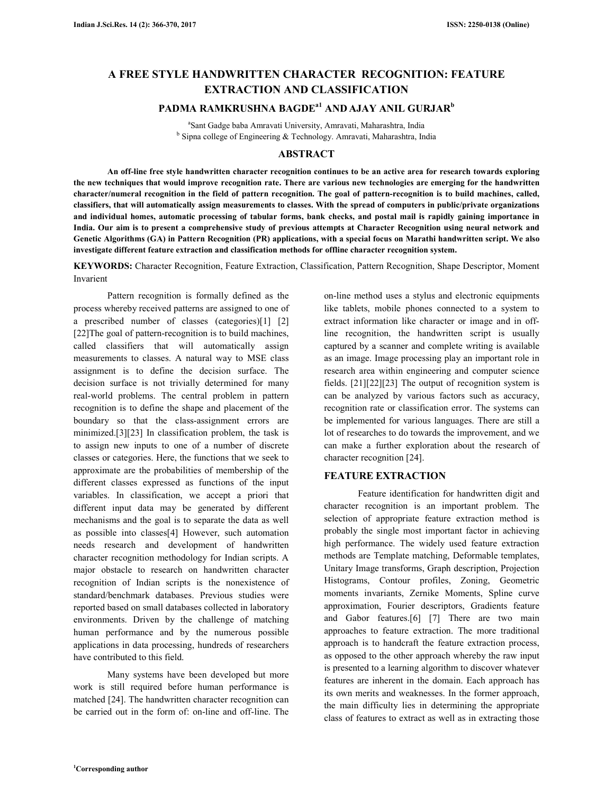# **A FREE STYLE HANDWRITTEN CHARACTER RECOGNITION: FEATURE EXTRACTION AND CLASSIFICATION**

# **PADMA RAMKRUSHNA BAGDEa1 AND AJAY ANIL GURJAR<sup>b</sup>**

a Sant Gadge baba Amravati University, Amravati, Maharashtra, India <sup>b</sup> Sipna college of Engineering & Technology. Amravati, Maharashtra, India

### **ABSTRACT**

**An off-line free style handwritten character recognition continues to be an active area for research towards exploring the new techniques that would improve recognition rate. There are various new technologies are emerging for the handwritten character/numeral recognition in the field of pattern recognition. The goal of pattern-recognition is to build machines, called, classifiers, that will automatically assign measurements to classes. With the spread of computers in public/private organizations and individual homes, automatic processing of tabular forms, bank checks, and postal mail is rapidly gaining importance in India. Our aim is to present a comprehensive study of previous attempts at Character Recognition using neural network and Genetic Algorithms (GA) in Pattern Recognition (PR) applications, with a special focus on Marathi handwritten script. We also investigate different feature extraction and classification methods for offline character recognition system.** 

**KEYWORDS:** Character Recognition, Feature Extraction, Classification, Pattern Recognition, Shape Descriptor, Moment Invarient

 Pattern recognition is formally defined as the process whereby received patterns are assigned to one of a prescribed number of classes (categories)[1] [2] [22] The goal of pattern-recognition is to build machines, called classifiers that will automatically assign measurements to classes. A natural way to MSE class assignment is to define the decision surface. The decision surface is not trivially determined for many real-world problems. The central problem in pattern recognition is to define the shape and placement of the boundary so that the class-assignment errors are minimized.[3][23] In classification problem, the task is to assign new inputs to one of a number of discrete classes or categories. Here, the functions that we seek to approximate are the probabilities of membership of the different classes expressed as functions of the input variables. In classification, we accept a priori that different input data may be generated by different mechanisms and the goal is to separate the data as well as possible into classes[4] However, such automation needs research and development of handwritten character recognition methodology for Indian scripts. A major obstacle to research on handwritten character recognition of Indian scripts is the nonexistence of standard/benchmark databases. Previous studies were reported based on small databases collected in laboratory environments. Driven by the challenge of matching human performance and by the numerous possible applications in data processing, hundreds of researchers have contributed to this field.

 Many systems have been developed but more work is still required before human performance is matched [24]. The handwritten character recognition can be carried out in the form of: on-line and off-line. The

on-line method uses a stylus and electronic equipments like tablets, mobile phones connected to a system to extract information like character or image and in offline recognition, the handwritten script is usually captured by a scanner and complete writing is available as an image. Image processing play an important role in research area within engineering and computer science fields. [21][22][23] The output of recognition system is can be analyzed by various factors such as accuracy, recognition rate or classification error. The systems can be implemented for various languages. There are still a lot of researches to do towards the improvement, and we can make a further exploration about the research of character recognition [24].

#### **FEATURE EXTRACTION**

 Feature identification for handwritten digit and character recognition is an important problem. The selection of appropriate feature extraction method is probably the single most important factor in achieving high performance. The widely used feature extraction methods are Template matching, Deformable templates, Unitary Image transforms, Graph description, Projection Histograms, Contour profiles, Zoning, Geometric moments invariants, Zernike Moments, Spline curve approximation, Fourier descriptors, Gradients feature and Gabor features.[6] [7] There are two main approaches to feature extraction. The more traditional approach is to handcraft the feature extraction process, as opposed to the other approach whereby the raw input is presented to a learning algorithm to discover whatever features are inherent in the domain. Each approach has its own merits and weaknesses. In the former approach, the main difficulty lies in determining the appropriate class of features to extract as well as in extracting those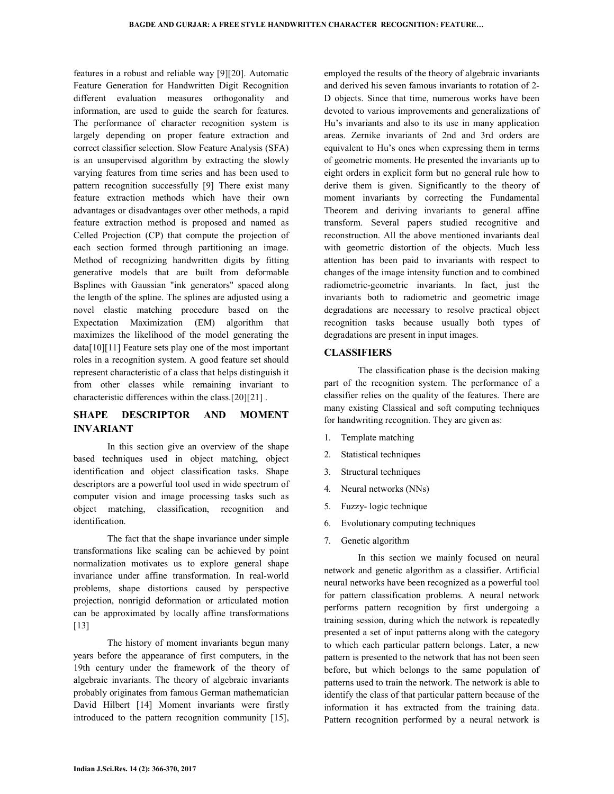features in a robust and reliable way [9][20]. Automatic Feature Generation for Handwritten Digit Recognition different evaluation measures orthogonality and information, are used to guide the search for features. The performance of character recognition system is largely depending on proper feature extraction and correct classifier selection. Slow Feature Analysis (SFA) is an unsupervised algorithm by extracting the slowly varying features from time series and has been used to pattern recognition successfully [9] There exist many feature extraction methods which have their own advantages or disadvantages over other methods, a rapid feature extraction method is proposed and named as Celled Projection (CP) that compute the projection of each section formed through partitioning an image. Method of recognizing handwritten digits by fitting generative models that are built from deformable Bsplines with Gaussian "ink generators" spaced along the length of the spline. The splines are adjusted using a novel elastic matching procedure based on the Expectation Maximization (EM) algorithm that maximizes the likelihood of the model generating the data[10][11] Feature sets play one of the most important roles in a recognition system. A good feature set should represent characteristic of a class that helps distinguish it from other classes while remaining invariant to characteristic differences within the class.[20][21] .

# **SHAPE DESCRIPTOR AND MOMENT INVARIANT**

 In this section give an overview of the shape based techniques used in object matching, object identification and object classification tasks. Shape descriptors are a powerful tool used in wide spectrum of computer vision and image processing tasks such as object matching, classification, recognition and identification.

 The fact that the shape invariance under simple transformations like scaling can be achieved by point normalization motivates us to explore general shape invariance under affine transformation. In real-world problems, shape distortions caused by perspective projection, nonrigid deformation or articulated motion can be approximated by locally affine transformations [13]

 The history of moment invariants begun many years before the appearance of first computers, in the 19th century under the framework of the theory of algebraic invariants. The theory of algebraic invariants probably originates from famous German mathematician David Hilbert [14] Moment invariants were firstly introduced to the pattern recognition community [15],

employed the results of the theory of algebraic invariants and derived his seven famous invariants to rotation of 2- D objects. Since that time, numerous works have been devoted to various improvements and generalizations of Hu's invariants and also to its use in many application areas. Zernike invariants of 2nd and 3rd orders are equivalent to Hu's ones when expressing them in terms of geometric moments. He presented the invariants up to eight orders in explicit form but no general rule how to derive them is given. Significantly to the theory of moment invariants by correcting the Fundamental Theorem and deriving invariants to general affine transform. Several papers studied recognitive and reconstruction. All the above mentioned invariants deal with geometric distortion of the objects. Much less attention has been paid to invariants with respect to changes of the image intensity function and to combined radiometric-geometric invariants. In fact, just the invariants both to radiometric and geometric image degradations are necessary to resolve practical object recognition tasks because usually both types of degradations are present in input images.

#### **CLASSIFIERS**

 The classification phase is the decision making part of the recognition system. The performance of a classifier relies on the quality of the features. There are many existing Classical and soft computing techniques for handwriting recognition. They are given as:

- 1. Template matching
- 2. Statistical techniques
- 3. Structural techniques
- 4. Neural networks (NNs)
- 5. Fuzzy- logic technique
- 6. Evolutionary computing techniques
- 7. Genetic algorithm

 In this section we mainly focused on neural network and genetic algorithm as a classifier. Artificial neural networks have been recognized as a powerful tool for pattern classification problems. A neural network performs pattern recognition by first undergoing a training session, during which the network is repeatedly presented a set of input patterns along with the category to which each particular pattern belongs. Later, a new pattern is presented to the network that has not been seen before, but which belongs to the same population of patterns used to train the network. The network is able to identify the class of that particular pattern because of the information it has extracted from the training data. Pattern recognition performed by a neural network is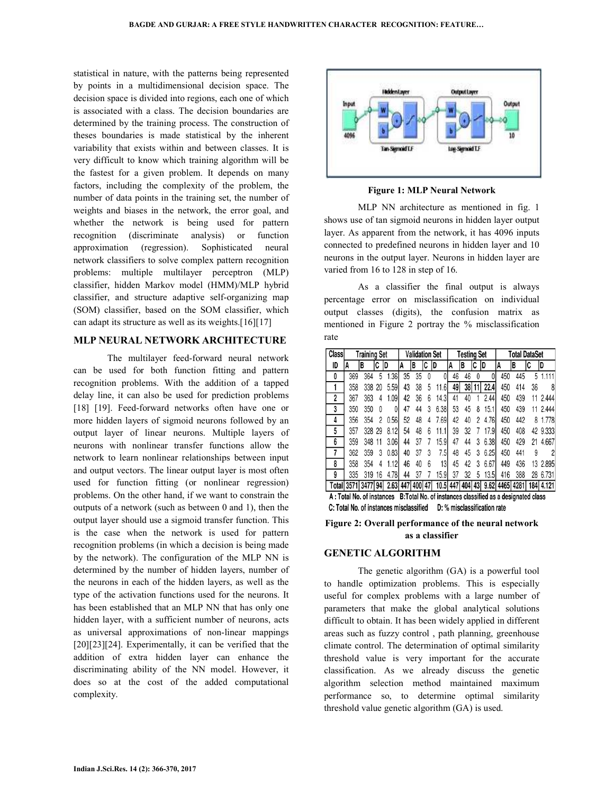statistical in nature, with the patterns being represented by points in a multidimensional decision space. The decision space is divided into regions, each one of which is associated with a class. The decision boundaries are determined by the training process. The construction of theses boundaries is made statistical by the inherent variability that exists within and between classes. It is very difficult to know which training algorithm will be the fastest for a given problem. It depends on many factors, including the complexity of the problem, the number of data points in the training set, the number of weights and biases in the network, the error goal, and whether the network is being used for pattern recognition (discriminate analysis) or function approximation (regression). Sophisticated neural network classifiers to solve complex pattern recognition problems: multiple multilayer perceptron (MLP) classifier, hidden Markov model (HMM)/MLP hybrid classifier, and structure adaptive self-organizing map (SOM) classifier, based on the SOM classifier, which can adapt its structure as well as its weights.[16][17]

#### **MLP NEURAL NETWORK ARCHITECTURE**

 The multilayer feed-forward neural network can be used for both function fitting and pattern recognition problems. With the addition of a tapped delay line, it can also be used for prediction problems [18] [19]. Feed-forward networks often have one or more hidden layers of sigmoid neurons followed by an output layer of linear neurons. Multiple layers of neurons with nonlinear transfer functions allow the network to learn nonlinear relationships between input and output vectors. The linear output layer is most often used for function fitting (or nonlinear regression) problems. On the other hand, if we want to constrain the outputs of a network (such as between 0 and 1), then the output layer should use a sigmoid transfer function. This is the case when the network is used for pattern recognition problems (in which a decision is being made by the network). The configuration of the MLP NN is determined by the number of hidden layers, number of the neurons in each of the hidden layers, as well as the type of the activation functions used for the neurons. It has been established that an MLP NN that has only one hidden layer, with a sufficient number of neurons, acts as universal approximations of non-linear mappings [20][23][24]. Experimentally, it can be verified that the addition of extra hidden layer can enhance the discriminating ability of the NN model. However, it does so at the cost of the added computational complexity.



**Figure 1: MLP Neural Network** 

 MLP NN architecture as mentioned in fig. 1 shows use of tan sigmoid neurons in hidden layer output layer. As apparent from the network, it has 4096 inputs connected to predefined neurons in hidden layer and 10 neurons in the output layer. Neurons in hidden layer are varied from 16 to 128 in step of 16.

 As a classifier the final output is always percentage error on misclassification on individual output classes (digits), the confusion matrix as mentioned in Figure 2 portray the % misclassification rate

| <b>Class</b>              | <b>Training Set</b> |     |    |      | <b>Validation Set</b> |        |    |                                                            | <b>Testing Set</b> |    |    |      | <b>Total DataSet</b> |     |    |                                          |
|---------------------------|---------------------|-----|----|------|-----------------------|--------|----|------------------------------------------------------------|--------------------|----|----|------|----------------------|-----|----|------------------------------------------|
| ID                        | A                   | в   | C  | ID   | A                     | B      | IC | ID                                                         | A                  | IB | IC | ID   | A                    | в   | C  | ID                                       |
| 0                         | 369                 | 364 | 5  | 1.36 | 35                    | 35     | 0  |                                                            | 46                 | 46 |    |      | 450                  | 445 | 5  | 1111                                     |
|                           | 358                 | 338 | 20 | 5.59 | 43                    | 38     | 5  | 11.6                                                       | 49                 | 38 | 11 | 22.4 | 450                  | 414 | 36 | 8                                        |
| 2                         | 367                 | 363 | 4  | 1.09 | 42                    | 36     | 6  | 14.3I                                                      | 41                 | 40 |    | 2.44 | 450                  | 439 | 11 | 2.444                                    |
| 3                         | 350                 | 350 | 0  |      | 47                    | 44     | 3  | 6.38                                                       | 53                 | 45 | 8  | 15.1 | 450                  | 439 | 11 | 2.444                                    |
| 4                         | 356                 | 354 | 2  | 0.56 | 52                    | 48     | 4  | 7.69                                                       | 42                 | 40 | 2  | 4.76 | 450                  | 442 | 8  | 1.778                                    |
| 5                         | 357                 | 328 | 29 | 8.12 | 54                    | 48     | 6  | 11.1                                                       | 39                 | 32 |    | 17.9 | 450                  | 408 |    | 42 9.333                                 |
| 6                         | 359                 | 348 | 11 | 3.06 | 44                    | 37     |    | 15.9                                                       | 47                 | 44 | 3  | 6.38 | 450                  | 429 | 21 | 4.667                                    |
| 7                         | 362                 | 359 | 3  | 0.83 | 40                    | 37     | 3  | 7.5                                                        | 48                 | 45 | 3  | 6.25 | 450                  | 441 | 9  | $\overline{2}$                           |
| 8                         | 358                 | 354 | 4  | 1.12 | 46                    | 40     | 6  | 13                                                         | 45                 | 42 | 3  | 6.67 | 449                  | 436 |    | 13 2.895                                 |
| 9                         | 335                 | 319 | 16 | 4.78 | 44                    | 37     |    | 15.9                                                       | 37                 | 32 | 5  | 13.5 | 416                  | 388 |    | 28 6.731                                 |
|                           | Total 3571 3477 94  |     |    | 2.63 | 447                   | 400 47 |    |                                                            |                    |    |    |      |                      |     |    | 10.5 447 404 43 9.62 4465 4281 184 4.121 |
| A: Total No. of instances |                     |     |    |      |                       |        |    | B: Total No. of instances classified as a designated class |                    |    |    |      |                      |     |    |                                          |

C: Total No. of instances misclassified D: % misclassification rate

#### **Figure 2: Overall performance of the neural network as a classifier**

#### **GENETIC ALGORITHM**

 The genetic algorithm (GA) is a powerful tool to handle optimization problems. This is especially useful for complex problems with a large number of parameters that make the global analytical solutions difficult to obtain. It has been widely applied in different areas such as fuzzy control , path planning, greenhouse climate control. The determination of optimal similarity threshold value is very important for the accurate classification. As we already discuss the genetic algorithm selection method maintained maximum performance so, to determine optimal similarity threshold value genetic algorithm (GA) is used.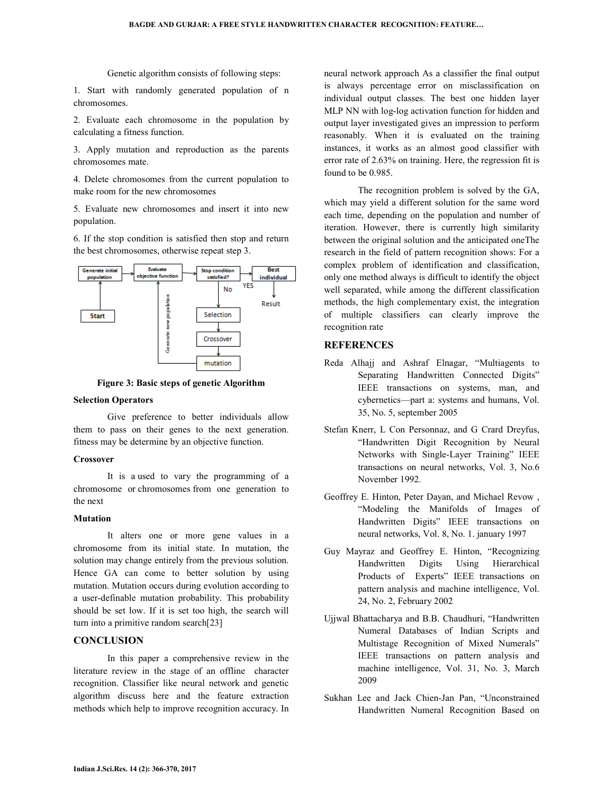Genetic algorithm consists of following steps:

1. Start with randomly generated population of n chromosomes.

2. Evaluate each chromosome in the population by calculating a fitness function.

3. Apply mutation and reproduction as the parents chromosomes mate.

4. Delete chromosomes from the current population to make room for the new chromosomes

5. Evaluate new chromosomes and insert it into new population.

6. If the stop condition is satisfied then stop and return the best chromosomes, otherwise repeat step 3.



**Figure 3: Basic steps of genetic Algorithm** 

#### **Selection Operators**

 Give preference to better individuals allow them to pass on their genes to the next generation. fitness may be determine by an objective function.

#### **Crossover**

 It is a used to vary the programming of a chromosome or chromosomes from one generation to the next

### **Mutation**

 It alters one or more gene values in a chromosome from its initial state. In mutation, the solution may change entirely from the previous solution. Hence GA can come to better solution by using mutation. Mutation occurs during evolution according to a user-definable mutation probability. This probability should be set low. If it is set too high, the search will turn into a primitive random search[23]

### **CONCLUSION**

 In this paper a comprehensive review in the literature review in the stage of an offline character recognition. Classifier like neural network and genetic algorithm discuss here and the feature extraction methods which help to improve recognition accuracy. In

neural network approach As a classifier the final output is always percentage error on misclassification on individual output classes. The best one hidden layer MLP NN with log-log activation function for hidden and output layer investigated gives an impression to perform reasonably. When it is evaluated on the training instances, it works as an almost good classifier with error rate of 2.63% on training. Here, the regression fit is found to be 0.985.

 The recognition problem is solved by the GA, which may yield a different solution for the same word each time, depending on the population and number of iteration. However, there is currently high similarity between the original solution and the anticipated oneThe research in the field of pattern recognition shows: For a complex problem of identification and classification, only one method always is difficult to identify the object well separated, while among the different classification methods, the high complementary exist, the integration of multiple classifiers can clearly improve the recognition rate

## **REFERENCES**

- Reda Alhajj and Ashraf Elnagar, "Multiagents to Separating Handwritten Connected Digits" IEEE transactions on systems, man, and cybernetics—part a: systems and humans, Vol. 35, No. 5, september 2005
- Stefan Knerr, L Con Personnaz, and G Crard Dreyfus, "Handwritten Digit Recognition by Neural Networks with Single-Layer Training" IEEE transactions on neural networks, Vol. 3, No.6 November 1992.
- Geoffrey E. Hinton, Peter Dayan, and Michael Revow , "Modeling the Manifolds of Images of Handwritten Digits" IEEE transactions on neural networks, Vol. 8, No. 1. january 1997
- Guy Mayraz and Geoffrey E. Hinton, "Recognizing Handwritten Digits Using Hierarchical Products of Experts" IEEE transactions on pattern analysis and machine intelligence, Vol. 24, No. 2, February 2002
- Ujjwal Bhattacharya and B.B. Chaudhuri, "Handwritten Numeral Databases of Indian Scripts and Multistage Recognition of Mixed Numerals" IEEE transactions on pattern analysis and machine intelligence, Vol. 31, No. 3, March 2009
- Sukhan Lee and Jack Chien-Jan Pan, "Unconstrained Handwritten Numeral Recognition Based on